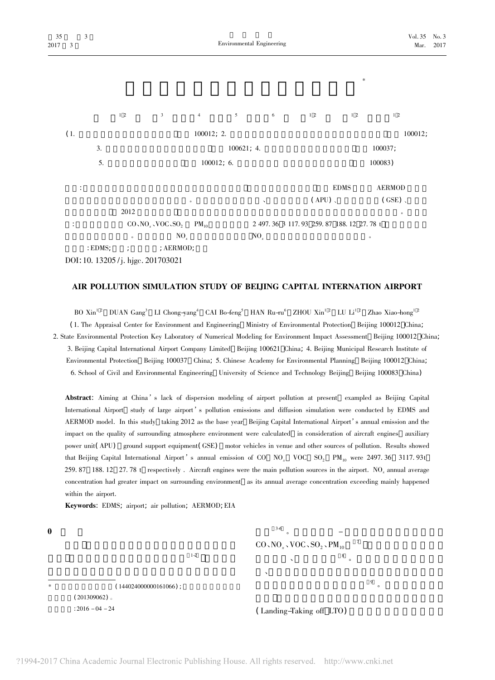

## AIR POLLUTION SIMULATION STUDY OF BELJING CAPITAL INTERNATION AIRPORT

BO Xin<sup>12</sup> DUAN Gang<sup>3</sup> LI Chong-yang<sup>4</sup> CAI Bo-feng<sup>5</sup> HAN Ru-ru<sup>6</sup> ZHOU Xin<sup>12</sup> LU Li<sup>12</sup> Zhao Xiao-hong<sup>12</sup> (1. The Appraisal Center for Environment and Engineering Ministry of Environmental Protection Beijing 100012 China; 2. State Environmental Protection Key Laboratory of Numerical Modeling for Environment Impact Assessment Beijing 100012 China; 3. Beijing Capital International Airport Company Limited Beijing 100621 China; 4. Beijing Municipal Research Institute of Environmental Protection Beijing 100037 China; 5. Chinese Academy for Environmental Planning Beijing 100012 China; 6. School of Civil and Environmental Engineering University of Science and Technology Beijing Beijing 100083 China)

Abstract: Aiming at China's lack of dispersion modeling of airport pollution at present exampled as Beijing Capital International Airport study of large airport's pollution emissions and diffusion simulation were conducted by EDMS and AERMOD model. In this study taking 2012 as the base year Beijing Capital International Airport's annual emission and the impact on the quality of surrounding atmosphere environment were calculated in consideration of aircraft engines auxiliary power unit(APU) ground support equipment(GSE) motor vehicles in venue and other sources of pollution. Results showed that Beijing Capital International Airport's annual emission of CO NO<sub>x</sub> VOC SO<sub>2</sub> PM<sub>10</sub> were 2497.36 3117.93t 259.87 188.12 27.78 t respectively. Aircraft engines were the main pollution sources in the airport. NO<sub>v</sub> annual average concentration had greater impact on surrounding environment as its annual average concentration exceeding mainly happened within the airport.

Keywords: EDMS; airport; air pollution; AERMOD; EIA

 $\bf{0}$ 

 $3-6$  $CO, NO, VOC, SO, PM_{10}$  $1 - 2$  $(144024000000161066)$ ;  $(201309062)$  $: 2016 - 04 - 24$ 

(Landing-Taking off LTO)

 $\overline{9}$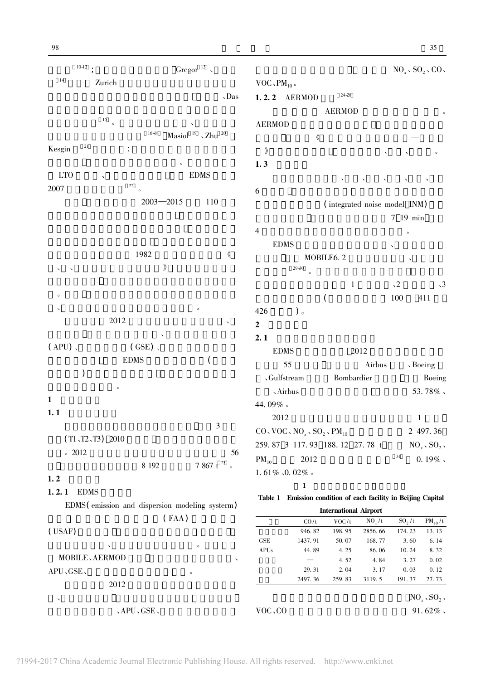$10-12$ ; Gregor $^{13}$   $\,$  $14$ Zurich  $\Delta$ Das  $15\,$  $\overline{\phantom{a}}$  $16-18$ Masiol  $19$ , Zhu  $20$  $\overline{21}$ Kesgin **LTO EDMS**  $22$ 2007  $2003 - 2015$ 110 1982  $\langle\!\langle$  $\rangle\!\rangle$ 2012  $(APU)$ .  $(GSE)$ .  $\overline{(\ }$ **EDMS**  $\mathcal{L}$  $\mathbf{1}$  $1.1$  $\mathfrak{Z}$  $(T1, T2, T3)$  2010  $\degree$  2012 56  $7.867$  t  $^{\rm 23}$   $\,$  . 8 1 9 2

## $1, 2$

## 1.2.1 EDMS

EDMS (emission and dispersion modeling system)  $(FAA)$ (USAF)

**MOBILE, AERMOD** APU、GSE、 2012



 $\mathbf{1}$ 

## Table 1 Emission condition of each facility in Beijing Capital

**International Airport**  $PM_{10}/t$  $CO/t$  $VOC/t$  $NO_x/t$  $SO_2/t$ 2856.66 174.23 13.13 946.82 198.95 **GSE** 1437.91 50.07 168.77 3.60 6.14  $\rm{APUs}$ 44.89 4.25 86.06 10.24 8.32 4.52 4.84  $3.27$  $0.02$ 29.31  $2.04$  $3.17$  $0.03$  $0.12$ 2497.36 191.37 259.83 3119.5 27.73  $NO<sub>x</sub>$ ,  $SO<sub>2</sub>$ , 、APU、GSE、 VOC, CO 91.62%.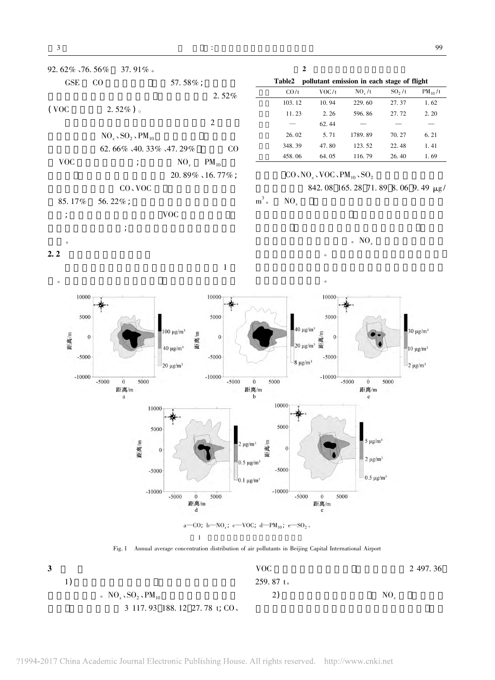